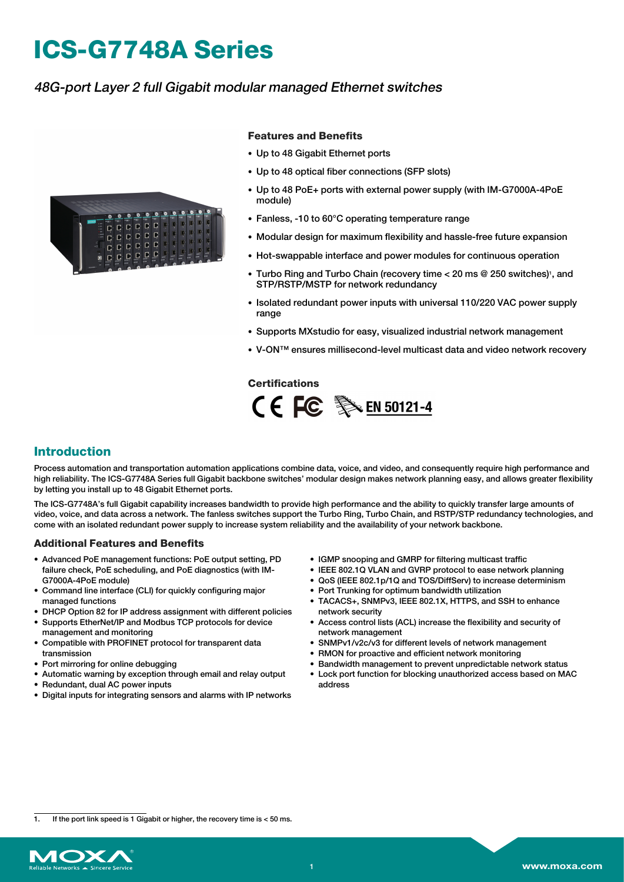# **ICS-G7748A Series**

## 48G-port Layer 2 full Gigabit modular managed Ethernet switches



#### **Features and Benefits**

- Up to 48 Gigabit Ethernet ports
- Up to 48 optical fiber connections (SFP slots)
- Up to 48 PoE+ ports with external power supply (with IM-G7000A-4PoE module)
- Fanless, -10 to 60°C operating temperature range
- Modular design for maximum flexibility and hassle-free future expansion
- Hot-swappable interface and power modules for continuous operation
- Turbo Ring and Turbo Chain (recovery time < 20 ms @ 250 switches)<sup>1</sup>, and STP/RSTP/MSTP for network redundancy
- Isolated redundant power inputs with universal 110/220 VAC power supply range
- Supports MXstudio for easy, visualized industrial network management
- V-ON™ ensures millisecond-level multicast data and video network recovery

#### **Certifications**



#### **Introduction**

Process automation and transportation automation applications combine data, voice, and video, and consequently require high performance and high reliability. The ICS-G7748A Series full Gigabit backbone switches' modular design makes network planning easy, and allows greater flexibility by letting you install up to 48 Gigabit Ethernet ports.

The ICS-G7748A's full Gigabit capability increases bandwidth to provide high performance and the ability to quickly transfer large amounts of video, voice, and data across a network. The fanless switches support the Turbo Ring, Turbo Chain, and RSTP/STP redundancy technologies, and come with an isolated redundant power supply to increase system reliability and the availability of your network backbone.

#### **Additional Features and Benefits**

- Advanced PoE management functions: PoE output setting, PD failure check, PoE scheduling, and PoE diagnostics (with IM-G7000A-4PoE module)
- Command line interface (CLI) for quickly configuring major managed functions
- DHCP Option 82 for IP address assignment with different policies
- Supports EtherNet/IP and Modbus TCP protocols for device management and monitoring
- Compatible with PROFINET protocol for transparent data transmission
- Port mirroring for online debugging
- Automatic warning by exception through email and relay output
- Redundant, dual AC power inputs
- Digital inputs for integrating sensors and alarms with IP networks
- IGMP snooping and GMRP for filtering multicast traffic
- IEEE 802.1Q VLAN and GVRP protocol to ease network planning
- QoS (IEEE 802.1p/1Q and TOS/DiffServ) to increase determinism
- Port Trunking for optimum bandwidth utilization
- TACACS+, SNMPv3, IEEE 802.1X, HTTPS, and SSH to enhance network security
- Access control lists (ACL) increase the flexibility and security of
- network management • SNMPv1/v2c/v3 for different levels of network management
- RMON for proactive and efficient network monitoring
- Bandwidth management to prevent unpredictable network status
- Lock port function for blocking unauthorized access based on MAC address

If the port link speed is 1 Gigabit or higher, the recovery time is  $<$  50 ms.

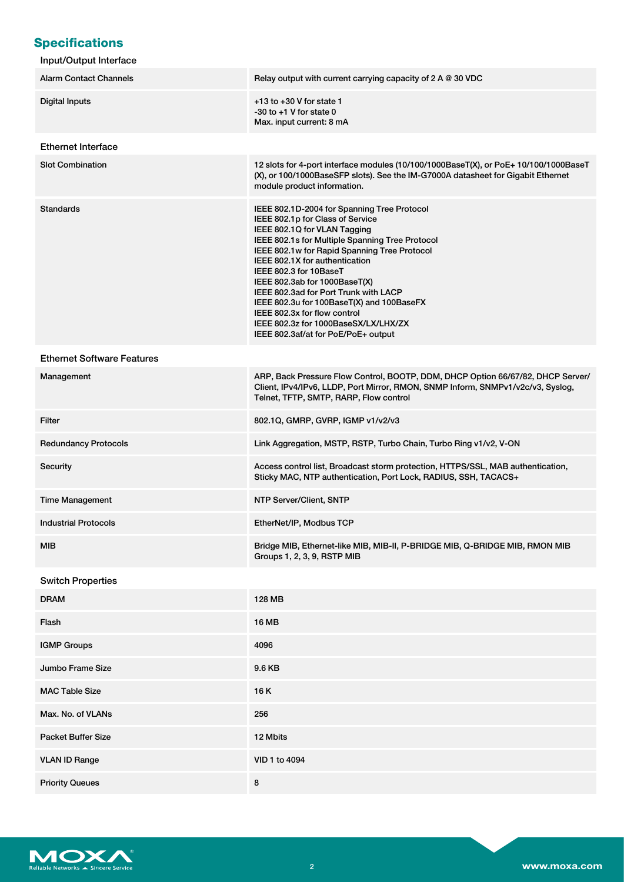# **Specifications**

| Input/Output Interface |  |
|------------------------|--|
|------------------------|--|

| <b>Alarm Contact Channels</b>     | Relay output with current carrying capacity of 2 A @ 30 VDC                                                                                                                                                                                                                                                                                                                                                                                                                                                          |
|-----------------------------------|----------------------------------------------------------------------------------------------------------------------------------------------------------------------------------------------------------------------------------------------------------------------------------------------------------------------------------------------------------------------------------------------------------------------------------------------------------------------------------------------------------------------|
| <b>Digital Inputs</b>             | $+13$ to $+30$ V for state 1<br>$-30$ to $+1$ V for state 0<br>Max. input current: 8 mA                                                                                                                                                                                                                                                                                                                                                                                                                              |
| <b>Ethernet Interface</b>         |                                                                                                                                                                                                                                                                                                                                                                                                                                                                                                                      |
| <b>Slot Combination</b>           | 12 slots for 4-port interface modules (10/100/1000BaseT(X), or PoE+ 10/100/1000BaseT<br>(X), or 100/1000BaseSFP slots). See the IM-G7000A datasheet for Gigabit Ethernet<br>module product information.                                                                                                                                                                                                                                                                                                              |
| <b>Standards</b>                  | IEEE 802.1D-2004 for Spanning Tree Protocol<br>IEEE 802.1p for Class of Service<br>IEEE 802.1Q for VLAN Tagging<br>IEEE 802.1s for Multiple Spanning Tree Protocol<br>IEEE 802.1w for Rapid Spanning Tree Protocol<br>IEEE 802.1X for authentication<br>IEEE 802.3 for 10BaseT<br>IEEE 802.3ab for 1000BaseT(X)<br>IEEE 802.3ad for Port Trunk with LACP<br>IEEE 802.3u for 100BaseT(X) and 100BaseFX<br>IEEE 802.3x for flow control<br>IEEE 802.3z for 1000BaseSX/LX/LHX/ZX<br>IEEE 802.3af/at for PoE/PoE+ output |
| <b>Ethernet Software Features</b> |                                                                                                                                                                                                                                                                                                                                                                                                                                                                                                                      |
| Management                        | ARP, Back Pressure Flow Control, BOOTP, DDM, DHCP Option 66/67/82, DHCP Server/<br>Client, IPv4/IPv6, LLDP, Port Mirror, RMON, SNMP Inform, SNMPv1/v2c/v3, Syslog,<br>Telnet, TFTP, SMTP, RARP, Flow control                                                                                                                                                                                                                                                                                                         |
| <b>Filter</b>                     | 802.1Q, GMRP, GVRP, IGMP v1/v2/v3                                                                                                                                                                                                                                                                                                                                                                                                                                                                                    |
| <b>Redundancy Protocols</b>       | Link Aggregation, MSTP, RSTP, Turbo Chain, Turbo Ring v1/v2, V-ON                                                                                                                                                                                                                                                                                                                                                                                                                                                    |
| Security                          | Access control list, Broadcast storm protection, HTTPS/SSL, MAB authentication,<br>Sticky MAC, NTP authentication, Port Lock, RADIUS, SSH, TACACS+                                                                                                                                                                                                                                                                                                                                                                   |
| <b>Time Management</b>            | NTP Server/Client, SNTP                                                                                                                                                                                                                                                                                                                                                                                                                                                                                              |
| <b>Industrial Protocols</b>       | EtherNet/IP, Modbus TCP                                                                                                                                                                                                                                                                                                                                                                                                                                                                                              |
| <b>MIB</b>                        | Bridge MIB, Ethernet-like MIB, MIB-II, P-BRIDGE MIB, Q-BRIDGE MIB, RMON MIB<br>Groups 1, 2, 3, 9, RSTP MIB                                                                                                                                                                                                                                                                                                                                                                                                           |
| <b>Switch Properties</b>          |                                                                                                                                                                                                                                                                                                                                                                                                                                                                                                                      |
| <b>DRAM</b>                       | 128 MB                                                                                                                                                                                                                                                                                                                                                                                                                                                                                                               |
| Flash                             | <b>16 MB</b>                                                                                                                                                                                                                                                                                                                                                                                                                                                                                                         |
| <b>IGMP Groups</b>                | 4096                                                                                                                                                                                                                                                                                                                                                                                                                                                                                                                 |
| Jumbo Frame Size                  | 9.6 KB                                                                                                                                                                                                                                                                                                                                                                                                                                                                                                               |
| <b>MAC Table Size</b>             | 16K                                                                                                                                                                                                                                                                                                                                                                                                                                                                                                                  |
| Max. No. of VLANs                 | 256                                                                                                                                                                                                                                                                                                                                                                                                                                                                                                                  |
| <b>Packet Buffer Size</b>         | 12 Mbits                                                                                                                                                                                                                                                                                                                                                                                                                                                                                                             |
| <b>VLAN ID Range</b>              | VID 1 to 4094                                                                                                                                                                                                                                                                                                                                                                                                                                                                                                        |
| <b>Priority Queues</b>            | 8                                                                                                                                                                                                                                                                                                                                                                                                                                                                                                                    |

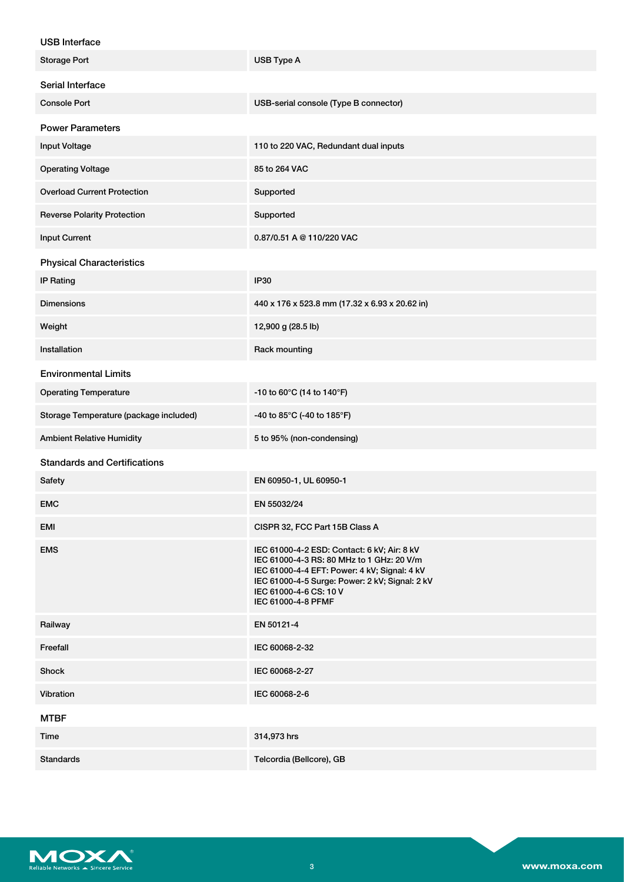| <b>USB Interface</b>                   |                                                                                                                                                                                                                                            |
|----------------------------------------|--------------------------------------------------------------------------------------------------------------------------------------------------------------------------------------------------------------------------------------------|
| <b>Storage Port</b>                    | USB Type A                                                                                                                                                                                                                                 |
| Serial Interface                       |                                                                                                                                                                                                                                            |
| <b>Console Port</b>                    | USB-serial console (Type B connector)                                                                                                                                                                                                      |
| <b>Power Parameters</b>                |                                                                                                                                                                                                                                            |
| <b>Input Voltage</b>                   | 110 to 220 VAC, Redundant dual inputs                                                                                                                                                                                                      |
| <b>Operating Voltage</b>               | 85 to 264 VAC                                                                                                                                                                                                                              |
| <b>Overload Current Protection</b>     | Supported                                                                                                                                                                                                                                  |
| <b>Reverse Polarity Protection</b>     | Supported                                                                                                                                                                                                                                  |
| <b>Input Current</b>                   | 0.87/0.51 A @ 110/220 VAC                                                                                                                                                                                                                  |
| <b>Physical Characteristics</b>        |                                                                                                                                                                                                                                            |
| <b>IP Rating</b>                       | IP30                                                                                                                                                                                                                                       |
| <b>Dimensions</b>                      | 440 x 176 x 523.8 mm (17.32 x 6.93 x 20.62 in)                                                                                                                                                                                             |
| Weight                                 | 12,900 g (28.5 lb)                                                                                                                                                                                                                         |
| Installation                           | Rack mounting                                                                                                                                                                                                                              |
| <b>Environmental Limits</b>            |                                                                                                                                                                                                                                            |
| <b>Operating Temperature</b>           | -10 to 60°C (14 to 140°F)                                                                                                                                                                                                                  |
| Storage Temperature (package included) | -40 to 85°C (-40 to 185°F)                                                                                                                                                                                                                 |
| <b>Ambient Relative Humidity</b>       | 5 to 95% (non-condensing)                                                                                                                                                                                                                  |
| <b>Standards and Certifications</b>    |                                                                                                                                                                                                                                            |
| Safety                                 | EN 60950-1, UL 60950-1                                                                                                                                                                                                                     |
| <b>EMC</b>                             | EN 55032/24                                                                                                                                                                                                                                |
| EMI                                    | CISPR 32, FCC Part 15B Class A                                                                                                                                                                                                             |
| <b>EMS</b>                             | IEC 61000-4-2 ESD: Contact: 6 kV; Air: 8 kV<br>IEC 61000-4-3 RS: 80 MHz to 1 GHz: 20 V/m<br>IEC 61000-4-4 EFT: Power: 4 kV; Signal: 4 kV<br>IEC 61000-4-5 Surge: Power: 2 kV; Signal: 2 kV<br>IEC 61000-4-6 CS: 10 V<br>IEC 61000-4-8 PFMF |
| Railway                                | EN 50121-4                                                                                                                                                                                                                                 |
| Freefall                               | IEC 60068-2-32                                                                                                                                                                                                                             |
| <b>Shock</b>                           | IEC 60068-2-27                                                                                                                                                                                                                             |
| Vibration                              | IEC 60068-2-6                                                                                                                                                                                                                              |
|                                        |                                                                                                                                                                                                                                            |



MTBF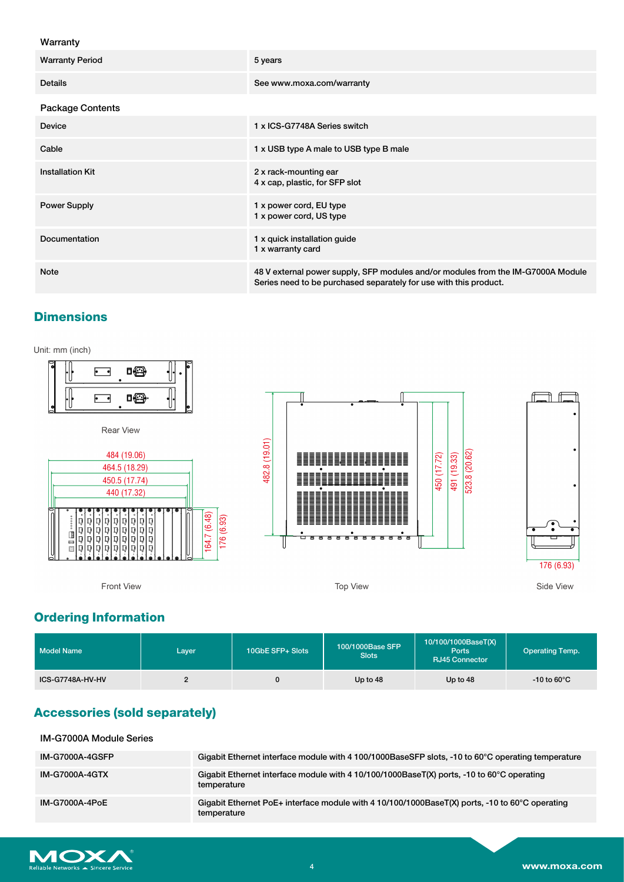#### Warranty

| <b>Warranty Period</b>  | 5 years                                                                                                                                               |
|-------------------------|-------------------------------------------------------------------------------------------------------------------------------------------------------|
| <b>Details</b>          | See www.moxa.com/warranty                                                                                                                             |
| <b>Package Contents</b> |                                                                                                                                                       |
| <b>Device</b>           | 1 x ICS-G7748A Series switch                                                                                                                          |
| Cable                   | 1 x USB type A male to USB type B male                                                                                                                |
| <b>Installation Kit</b> | 2 x rack-mounting ear<br>4 x cap, plastic, for SFP slot                                                                                               |
| <b>Power Supply</b>     | 1 x power cord, EU type<br>1 x power cord, US type                                                                                                    |
| Documentation           | 1 x quick installation guide<br>1 x warranty card                                                                                                     |
| <b>Note</b>             | 48 V external power supply, SFP modules and/or modules from the IM-G7000A Module<br>Series need to be purchased separately for use with this product. |

## **Dimensions**

Unit: mm (inch)



# **Ordering Information**

| Model Name       | Layer | 10GbE SFP+ Slots | 100/1000Base SFP<br><b>Slots</b> | 10/100/1000BaseT(X)<br><b>Ports</b><br>RJ45 Connector | <b>Operating Temp.</b>  |
|------------------|-------|------------------|----------------------------------|-------------------------------------------------------|-------------------------|
| ICS-G7748A-HV-HV |       |                  | Up to 48                         | Up to 48                                              | $-10$ to 60 $\degree$ C |

# **Accessories (sold separately)**

| <b>IM-G7000A Module Series</b> |                                                                                                                          |
|--------------------------------|--------------------------------------------------------------------------------------------------------------------------|
| <b>IM-G7000A-4GSFP</b>         | Gigabit Ethernet interface module with 4 100/1000BaseSFP slots, -10 to 60°C operating temperature                        |
| <b>IM-G7000A-4GTX</b>          | Gigabit Ethernet interface module with 4 10/100/1000BaseT(X) ports, -10 to 60°C operating<br>temperature                 |
| IM-G7000A-4PoE                 | Gigabit Ethernet PoE+ interface module with 4 10/100/1000BaseT(X) ports, -10 to 60 $^{\circ}$ C operating<br>temperature |

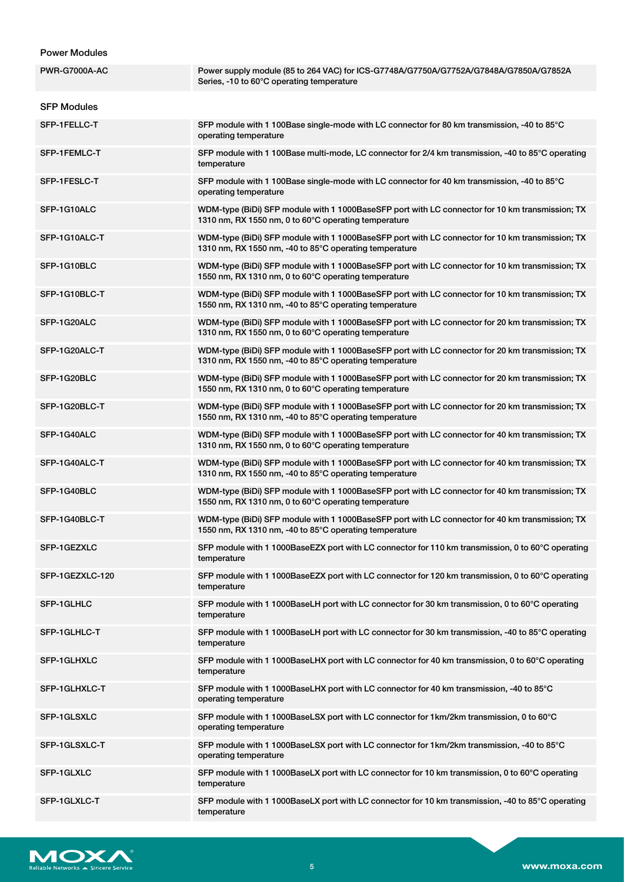### Power Modules

| <b>PWR-G7000A-AC</b> | Power supply module (85 to 264 VAC) for ICS-G7748A/G7750A/G7752A/G7848A/G7850A/G7852A<br>Series, -10 to 60°C operating temperature                        |
|----------------------|-----------------------------------------------------------------------------------------------------------------------------------------------------------|
| <b>SFP Modules</b>   |                                                                                                                                                           |
| SFP-1FELLC-T         | SFP module with 1 100Base single-mode with LC connector for 80 km transmission, -40 to 85°C<br>operating temperature                                      |
| SFP-1FEMLC-T         | SFP module with 1 100Base multi-mode, LC connector for 2/4 km transmission, -40 to 85°C operating<br>temperature                                          |
| SFP-1FESLC-T         | SFP module with 1 100Base single-mode with LC connector for 40 km transmission, -40 to 85°C<br>operating temperature                                      |
| SFP-1G10ALC          | WDM-type (BiDi) SFP module with 1 1000BaseSFP port with LC connector for 10 km transmission; TX<br>1310 nm, RX 1550 nm, 0 to 60°C operating temperature   |
| SFP-1G10ALC-T        | WDM-type (BiDi) SFP module with 1 1000BaseSFP port with LC connector for 10 km transmission; TX<br>1310 nm, RX 1550 nm, -40 to 85°C operating temperature |
| SFP-1G10BLC          | WDM-type (BiDi) SFP module with 1 1000BaseSFP port with LC connector for 10 km transmission; TX<br>1550 nm, RX 1310 nm, 0 to 60°C operating temperature   |
| SFP-1G10BLC-T        | WDM-type (BiDi) SFP module with 1 1000BaseSFP port with LC connector for 10 km transmission; TX<br>1550 nm, RX 1310 nm, -40 to 85°C operating temperature |
| SFP-1G20ALC          | WDM-type (BiDi) SFP module with 1 1000BaseSFP port with LC connector for 20 km transmission; TX<br>1310 nm, RX 1550 nm, 0 to 60°C operating temperature   |
| SFP-1G20ALC-T        | WDM-type (BiDi) SFP module with 1 1000BaseSFP port with LC connector for 20 km transmission; TX<br>1310 nm, RX 1550 nm, -40 to 85°C operating temperature |
| SFP-1G20BLC          | WDM-type (BiDi) SFP module with 1 1000BaseSFP port with LC connector for 20 km transmission; TX<br>1550 nm, RX 1310 nm, 0 to 60°C operating temperature   |
| SFP-1G20BLC-T        | WDM-type (BiDi) SFP module with 1 1000BaseSFP port with LC connector for 20 km transmission; TX<br>1550 nm, RX 1310 nm, -40 to 85°C operating temperature |
| SFP-1G40ALC          | WDM-type (BiDi) SFP module with 1 1000BaseSFP port with LC connector for 40 km transmission; TX<br>1310 nm, RX 1550 nm, 0 to 60°C operating temperature   |
| SFP-1G40ALC-T        | WDM-type (BiDi) SFP module with 1 1000BaseSFP port with LC connector for 40 km transmission; TX<br>1310 nm, RX 1550 nm, -40 to 85°C operating temperature |
| SFP-1G40BLC          | WDM-type (BiDi) SFP module with 1 1000BaseSFP port with LC connector for 40 km transmission; TX<br>1550 nm, RX 1310 nm, 0 to 60°C operating temperature   |
| SFP-1G40BLC-T        | WDM-type (BiDi) SFP module with 1 1000BaseSFP port with LC connector for 40 km transmission; TX<br>1550 nm, RX 1310 nm, -40 to 85°C operating temperature |
| SFP-1GEZXLC          | SFP module with 1 1000BaseEZX port with LC connector for 110 km transmission, 0 to 60 $\degree$ C operating<br>temperature                                |
| SFP-1GEZXLC-120      | SFP module with 1 1000BaseEZX port with LC connector for 120 km transmission, 0 to 60°C operating<br>temperature                                          |
| SFP-1GLHLC           | SFP module with 1 1000BaseLH port with LC connector for 30 km transmission, 0 to 60°C operating<br>temperature                                            |
| SFP-1GLHLC-T         | SFP module with 1 1000BaseLH port with LC connector for 30 km transmission, -40 to 85°C operating<br>temperature                                          |
| SFP-1GLHXLC          | SFP module with 1 1000BaseLHX port with LC connector for 40 km transmission, 0 to 60 $\degree$ C operating<br>temperature                                 |
| SFP-1GLHXLC-T        | SFP module with 1 1000BaseLHX port with LC connector for 40 km transmission, -40 to 85°C<br>operating temperature                                         |
| SFP-1GLSXLC          | SFP module with 1 1000BaseLSX port with LC connector for 1km/2km transmission, 0 to 60°C<br>operating temperature                                         |
| SFP-1GLSXLC-T        | SFP module with 1 1000BaseLSX port with LC connector for 1km/2km transmission, -40 to 85°C<br>operating temperature                                       |
| SFP-1GLXLC           | SFP module with 1 1000BaseLX port with LC connector for 10 km transmission, 0 to 60 $\degree$ C operating<br>temperature                                  |
| SFP-1GLXLC-T         | SFP module with 1 1000BaseLX port with LC connector for 10 km transmission, -40 to 85 $^{\circ}$ C operating<br>temperature                               |